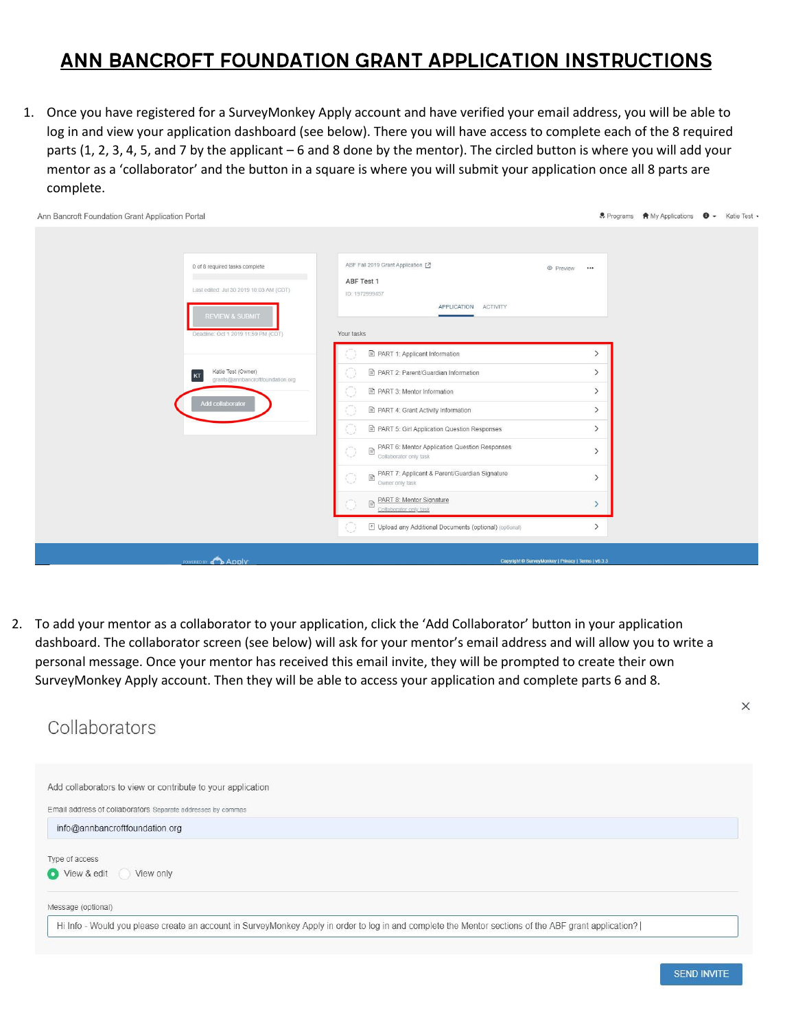## Ann Bancroft Foundation Grant Application Instructions

1. Once you have registered for a SurveyMonkey Apply account and have verified your email address, you will be able to log in and view your application dashboard (see below). There you will have access to complete each of the 8 required parts (1, 2, 3, 4, 5, and 7 by the applicant – 6 and 8 done by the mentor). The circled button is where you will add your mentor as a 'collaborator' and the button in a square is where you will submit your application once all 8 parts are complete.

| Ann Bancroft Foundation Grant Application Portal                                                                                               |                                                                                                                                                                                                                                                                                                                                                                 |                                                                                                                                  | . Programs A My Applications <b>O</b> - Katie Test - |  |
|------------------------------------------------------------------------------------------------------------------------------------------------|-----------------------------------------------------------------------------------------------------------------------------------------------------------------------------------------------------------------------------------------------------------------------------------------------------------------------------------------------------------------|----------------------------------------------------------------------------------------------------------------------------------|------------------------------------------------------|--|
| 0 of 8 required tasks complete<br>Last edited: Jul 30 2019 10:03 AM (CDT)<br><b>REVIEW &amp; SUBMIT</b><br>Deadline: Oct 1 2019 11:59 PM (CDT) | ABF Fall 2019 Grant Application [2]<br>© Preview<br>ABF Test 1<br>ID: 1972999457<br>APPLICATION ACTIVITY<br>Your tasks<br>PART 1: Applicant Information                                                                                                                                                                                                         | $\mathcal{P}$                                                                                                                    |                                                      |  |
| Katie Test (Owner)<br>KT<br>grants@annbancroftfoundation.org<br>Add collaborator                                                               | ■ PART 2: Parent/Guardian Information<br>PART 3: Mentor Information<br>PART 4: Grant Activity Information<br>PART 5: Girl Application Question Responses<br>PART 6: Mentor Application Question Responses<br>$\bigcap_{k=1}^{n-1}$<br>Collaborator only task<br>PART 7: Applicant & Parent/Guardian Signature<br>$\cap$<br>Owner only task<br>$N \leq \epsilon$ | $\rightarrow$<br>$\left\langle \right\rangle$<br>$\left\langle \right\rangle$<br>$\rightarrow$<br>$\mathcal{E}$<br>$\mathcal{P}$ |                                                      |  |
|                                                                                                                                                | <b>EXART 8: Mentor Signature</b><br>Collaborator only task<br>[1] Upload any Additional Documents (optional) (optional)<br>O                                                                                                                                                                                                                                    | $\rightarrow$                                                                                                                    |                                                      |  |
| POWERED BY ADDIV                                                                                                                               | Copyright @ SurveyMonkey   Privacy   Terms   v6.3.3                                                                                                                                                                                                                                                                                                             |                                                                                                                                  |                                                      |  |

2. To add your mentor as a collaborator to your application, click the 'Add Collaborator' button in your application dashboard. The collaborator screen (see below) will ask for your mentor's email address and will allow you to write a personal message. Once your mentor has received this email invite, they will be prompted to create their own SurveyMonkey Apply account. Then they will be able to access your application and complete parts 6 and 8.



**SEND INVITE**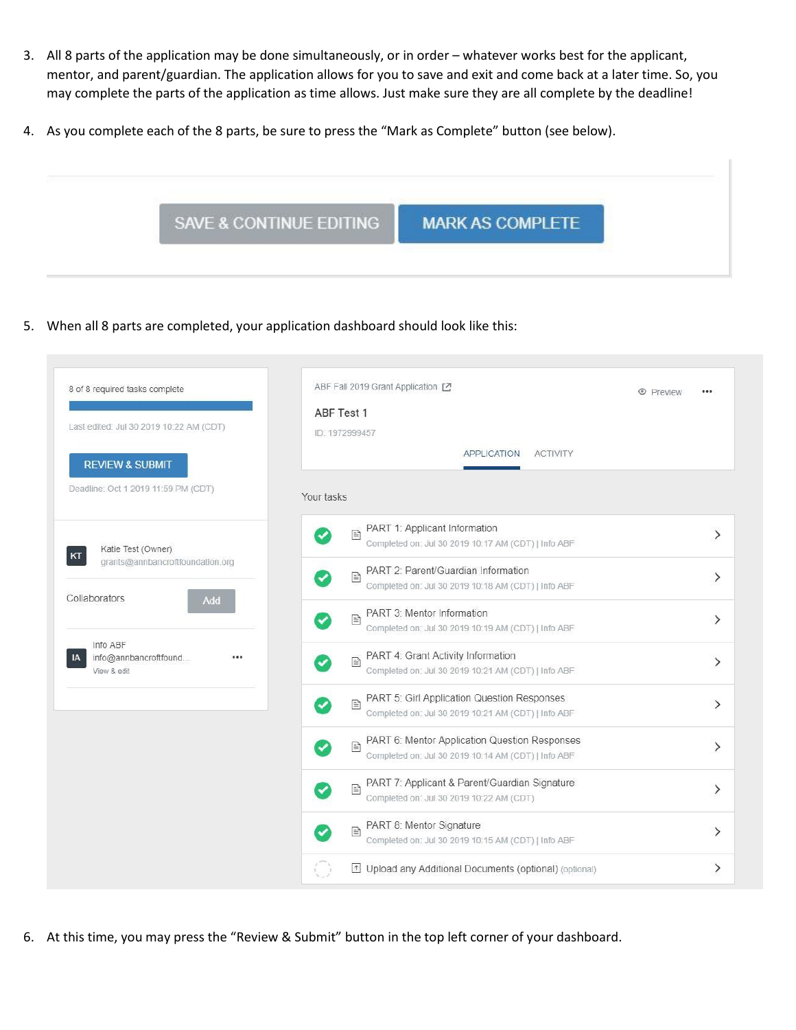- 3. All 8 parts of the application may be done simultaneously, or in order whatever works best for the applicant, mentor, and parent/guardian. The application allows for you to save and exit and come back at a later time. So, you may complete the parts of the application as time allows. Just make sure they are all complete by the deadline!
- 4. As you complete each of the 8 parts, be sure to press the "Mark as Complete" button (see below).



5. When all 8 parts are completed, your application dashboard should look like this:

| 8 of 8 required tasks complete<br>Last edited: Jul 30 2019 10:22 AM (CDT)<br><b>REVIEW &amp; SUBMIT</b> | ABF Fall 2019 Grant Application [7]<br>ABF Test 1<br>ID: 1972999457<br><b>APPLICATION</b><br><b>ACTIVITY</b> | <b>E</b> Preview |
|---------------------------------------------------------------------------------------------------------|--------------------------------------------------------------------------------------------------------------|------------------|
| Deadline: Oct 1 2019 11:59 PM (CDT)                                                                     | Your tasks                                                                                                   |                  |
| Katie Test (Owner)<br>KT                                                                                | PART 1: Applicant Information<br>E<br>Completed on: Jul 30 2019 10:17 AM (CDT)   Info ABF                    | $\mathcal{E}$    |
| grants@annbancroftfoundation.org                                                                        | PART 2: Parent/Guardian Information<br>B<br>Completed on: Jul 30 2019 10:18 AM (CDT)   Info ABF              | ⋋                |
| Collaborators<br>Add                                                                                    | PART 3: Mentor Information<br>B<br>Completed on: Jul 30 2019 10:19 AM (CDT)   Info ABF                       | ゝ                |
| Info ABF<br>info@annbancroftfound<br><br>View & edit                                                    | PART 4: Grant Activity Information<br>B<br>Completed on: Jul 30 2019 10:21 AM (CDT)   Info ABF               | ⋋                |
|                                                                                                         | PART 5: Girl Application Question Responses<br>₿<br>Completed on: Jul 30 2019 10:21 AM (CDT)   Info ABF      | ⋋                |
|                                                                                                         | PART 6: Mentor Application Question Responses<br>B<br>Completed on: Jul 30 2019 10:14 AM (CDT)   Info ABF    | ⋋                |
|                                                                                                         | PART 7: Applicant & Parent/Guardian Signature<br>E<br>Completed on: Jul 30 2019 10:22 AM (CDT)               | ⋋                |
|                                                                                                         | PART 8: Mentor Signature<br>目<br>Completed on: Jul 30 2019 10:15 AM (CDT)   Info ABF                         | ゝ                |
|                                                                                                         | Upload any Additional Documents (optional) (optional)                                                        | ゝ                |

6. At this time, you may press the "Review & Submit" button in the top left corner of your dashboard.